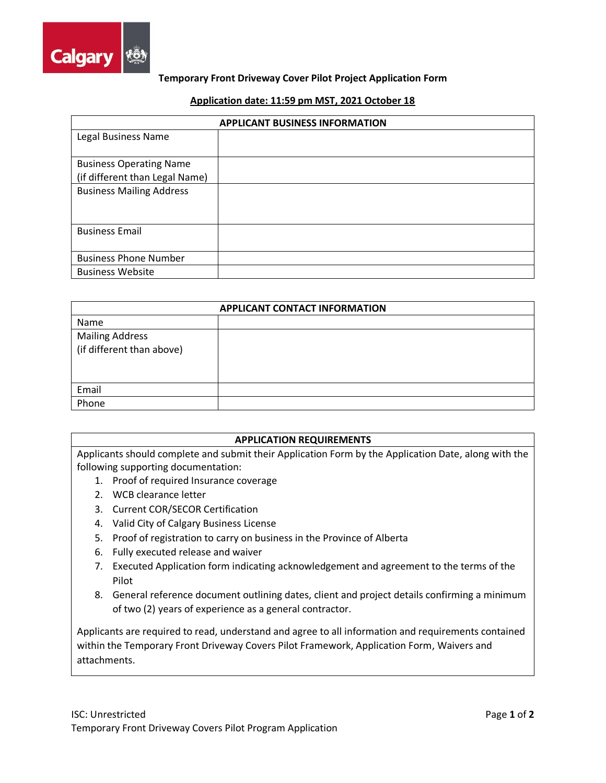

## **Temporary Front Driveway Cover Pilot Project Application Form**

#### **Application date: 11:59 pm MST, 2021 October 18**

| <b>APPLICANT BUSINESS INFORMATION</b> |  |
|---------------------------------------|--|
| Legal Business Name                   |  |
|                                       |  |
| <b>Business Operating Name</b>        |  |
| (if different than Legal Name)        |  |
| <b>Business Mailing Address</b>       |  |
|                                       |  |
|                                       |  |
| <b>Business Email</b>                 |  |
|                                       |  |
| <b>Business Phone Number</b>          |  |
| <b>Business Website</b>               |  |

| <b>APPLICANT CONTACT INFORMATION</b> |  |
|--------------------------------------|--|
| Name                                 |  |
| <b>Mailing Address</b>               |  |
| (if different than above)            |  |
|                                      |  |
|                                      |  |
| Email                                |  |
| Phone                                |  |

## **APPLICATION REQUIREMENTS**

Applicants should complete and submit their Application Form by the Application Date, along with the following supporting documentation:

- 1. Proof of required Insurance coverage
- 2. WCB clearance letter
- 3. Current COR/SECOR Certification
- 4. Valid City of Calgary Business License
- 5. Proof of registration to carry on business in the Province of Alberta
- 6. Fully executed release and waiver
- 7. Executed Application form indicating acknowledgement and agreement to the terms of the Pilot
- 8. General reference document outlining dates, client and project details confirming a minimum of two (2) years of experience as a general contractor.

Applicants are required to read, understand and agree to all information and requirements contained within the Temporary Front Driveway Covers Pilot Framework, Application Form, Waivers and attachments.